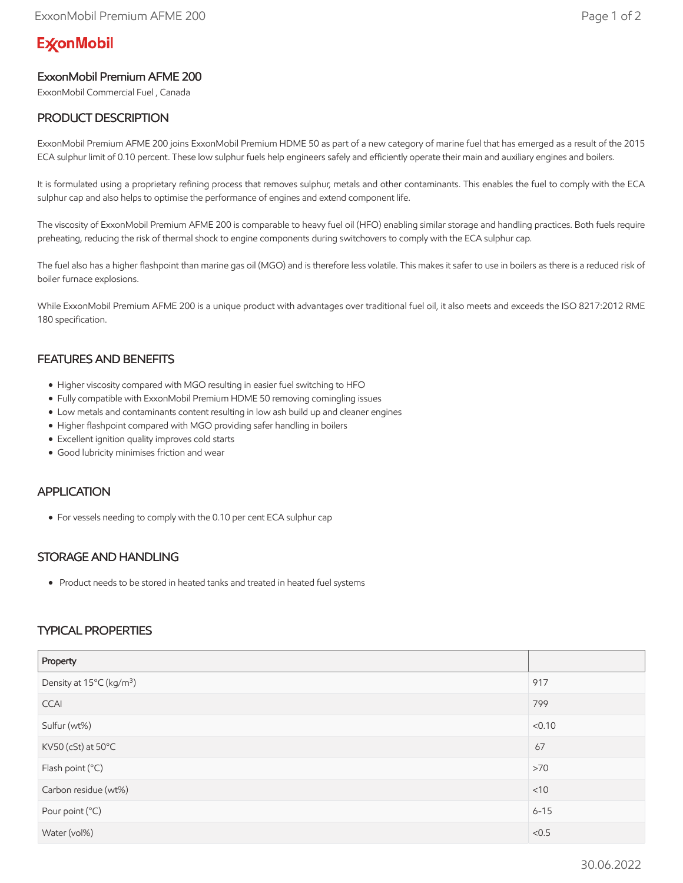# **ExconMobil**

# ExxonMobil Premium AFME 200

ExxonMobil Commercial Fuel , Canada

## PRODUCT DESCRIPTION

ExxonMobil Premium AFME 200 joins ExxonMobil Premium HDME 50 as part of a new category of marine fuel that has emerged as a result of the 2015 ECA sulphur limit of 0.10 percent. These low sulphur fuels help engineers safely and efficiently operate their main and auxiliary engines and boilers.

It is formulated using a proprietary refining process that removes sulphur, metals and other contaminants. This enables the fuel to comply with the ECA sulphur cap and also helps to optimise the performance of engines and extend component life.

The viscosity of ExxonMobil Premium AFME 200 is comparable to heavy fuel oil (HFO) enabling similar storage and handling practices. Both fuels require preheating, reducing the risk of thermal shock to engine components during switchovers to comply with the ECA sulphur cap.

The fuel also has a higher flashpoint than marine gas oil (MGO) and is therefore less volatile. This makes it safer to use in boilers as there is a reduced risk of boiler furnace explosions.

While ExxonMobil Premium AFME 200 is a unique product with advantages over traditional fuel oil, it also meets and exceeds the ISO 8217:2012 RME 180 specification.

## FEATURES AND BENEFITS

- Higher viscosity compared with MGO resulting in easier fuel switching to HFO
- Fully compatible with ExxonMobil Premium HDME 50 removing comingling issues
- Low metals and contaminants content resulting in low ash build up and cleaner engines
- Higher flashpoint compared with MGO providing safer handling in boilers
- Excellent ignition quality improves cold starts
- Good lubricity minimises friction and wear

#### APPLICATION

For vessels needing to comply with the 0.10 per cent ECA sulphur cap

#### STORAGE AND HANDLING

Product needs to be stored in heated tanks and treated in heated fuel systems

### TYPICAL PROPERTIES

| Property                             |          |
|--------------------------------------|----------|
| Density at 15°C (kg/m <sup>3</sup> ) | 917      |
| <b>CCAI</b>                          | 799      |
| Sulfur (wt%)                         | < 0.10   |
| KV50 (cSt) at 50°C                   | 67       |
| Flash point (°C)                     | >70      |
| Carbon residue (wt%)                 | $<$ 10   |
| Pour point (°C)                      | $6 - 15$ |
| Water (vol%)                         | < 0.5    |